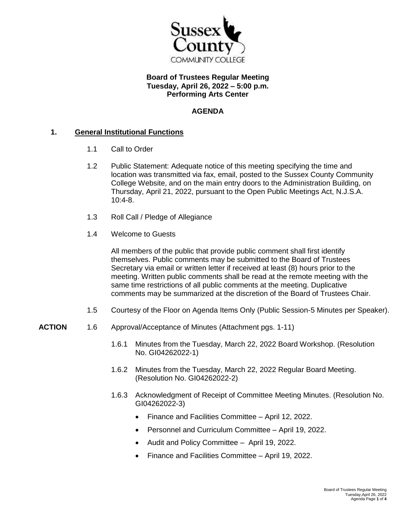

# **Board of Trustees Regular Meeting Tuesday, April 26, 2022 – 5:00 p.m. Performing Arts Center**

# **AGENDA**

### **1. General Institutional Functions**

- 1.1 Call to Order
- 1.2 Public Statement: Adequate notice of this meeting specifying the time and location was transmitted via fax, email, posted to the Sussex County Community College Website, and on the main entry doors to the Administration Building, on Thursday, April 21, 2022, pursuant to the Open Public Meetings Act, N.J.S.A. 10:4-8.
- 1.3 Roll Call / Pledge of Allegiance
- 1.4 Welcome to Guests

All members of the public that provide public comment shall first identify themselves. Public comments may be submitted to the Board of Trustees Secretary via email or written letter if received at least (8) hours prior to the meeting. Written public comments shall be read at the remote meeting with the same time restrictions of all public comments at the meeting. Duplicative comments may be summarized at the discretion of the Board of Trustees Chair.

- 1.5 Courtesy of the Floor on Agenda Items Only (Public Session-5 Minutes per Speaker).
- **ACTION** 1.6 Approval/Acceptance of Minutes (Attachment pgs. 1-11)
	- 1.6.1 Minutes from the Tuesday, March 22, 2022 Board Workshop. (Resolution No. GI04262022-1)
	- 1.6.2 Minutes from the Tuesday, March 22, 2022 Regular Board Meeting. (Resolution No. GI04262022-2)
	- 1.6.3 Acknowledgment of Receipt of Committee Meeting Minutes. (Resolution No. GI04262022-3)
		- Finance and Facilities Committee April 12, 2022.
		- Personnel and Curriculum Committee April 19, 2022.
		- Audit and Policy Committee April 19, 2022.
		- Finance and Facilities Committee April 19, 2022.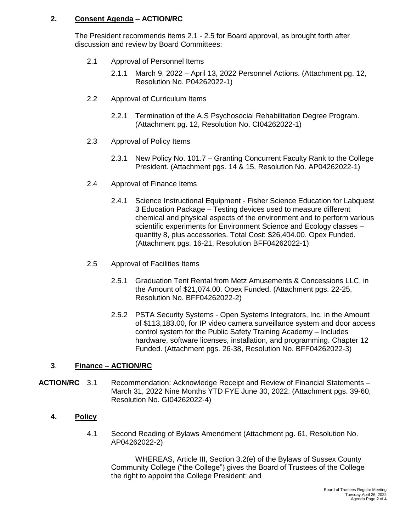# **2. Consent Agenda – ACTION/RC**

The President recommends items 2.1 - 2.5 for Board approval, as brought forth after discussion and review by Board Committees:

- 2.1 Approval of Personnel Items
	- 2.1.1 March 9, 2022 April 13, 2022 Personnel Actions. (Attachment pg. 12, Resolution No. P04262022-1)
- 2.2 Approval of Curriculum Items
	- 2.2.1 Termination of the A.S Psychosocial Rehabilitation Degree Program. (Attachment pg. 12, Resolution No. CI04262022-1)
- 2.3 Approval of Policy Items
	- 2.3.1 New Policy No. 101.7 Granting Concurrent Faculty Rank to the College President. (Attachment pgs. 14 & 15, Resolution No. AP04262022-1)
- 2.4 Approval of Finance Items
	- 2.4.1 Science Instructional Equipment Fisher Science Education for Labquest 3 Education Package – Testing devices used to measure different chemical and physical aspects of the environment and to perform various scientific experiments for Environment Science and Ecology classes – quantity 8, plus accessories. Total Cost: \$26,404.00. Opex Funded. (Attachment pgs. 16-21, Resolution BFF04262022-1)
- 2.5 Approval of Facilities Items
	- 2.5.1 Graduation Tent Rental from Metz Amusements & Concessions LLC, in the Amount of \$21,074.00. Opex Funded. (Attachment pgs. 22-25, Resolution No. BFF04262022-2)
	- 2.5.2 PSTA Security Systems Open Systems Integrators, Inc. in the Amount of \$113,183.00, for IP video camera surveillance system and door access control system for the Public Safety Training Academy – Includes hardware, software licenses, installation, and programming. Chapter 12 Funded. (Attachment pgs. 26-38, Resolution No. BFF04262022-3)

# **3**. **Finance – ACTION/RC**

**ACTION/RC** 3.1 Recommendation: Acknowledge Receipt and Review of Financial Statements – March 31, 2022 Nine Months YTD FYE June 30, 2022. (Attachment pgs. 39-60, Resolution No. GI04262022-4)

### **4. Policy**

4.1 Second Reading of Bylaws Amendment (Attachment pg. 61, Resolution No. AP04262022-2)

WHEREAS, Article III, Section 3.2(e) of the Bylaws of Sussex County Community College ("the College") gives the Board of Trustees of the College the right to appoint the College President; and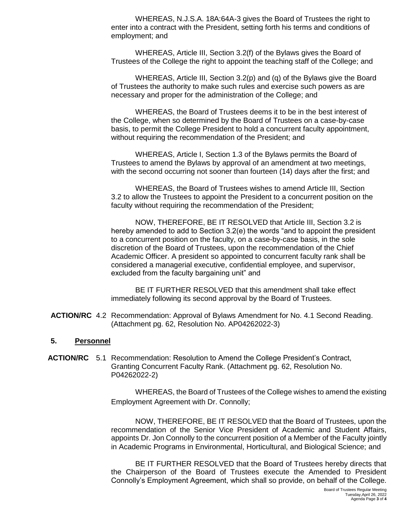WHEREAS, N.J.S.A. 18A:64A-3 gives the Board of Trustees the right to enter into a contract with the President, setting forth his terms and conditions of employment; and

WHEREAS, Article III, Section 3.2(f) of the Bylaws gives the Board of Trustees of the College the right to appoint the teaching staff of the College; and

WHEREAS, Article III, Section 3.2(p) and (q) of the Bylaws give the Board of Trustees the authority to make such rules and exercise such powers as are necessary and proper for the administration of the College; and

WHEREAS, the Board of Trustees deems it to be in the best interest of the College, when so determined by the Board of Trustees on a case-by-case basis, to permit the College President to hold a concurrent faculty appointment, without requiring the recommendation of the President; and

WHEREAS, Article I, Section 1.3 of the Bylaws permits the Board of Trustees to amend the Bylaws by approval of an amendment at two meetings, with the second occurring not sooner than fourteen (14) days after the first; and

WHEREAS, the Board of Trustees wishes to amend Article III, Section 3.2 to allow the Trustees to appoint the President to a concurrent position on the faculty without requiring the recommendation of the President;

NOW, THEREFORE, BE IT RESOLVED that Article III, Section 3.2 is hereby amended to add to Section 3.2(e) the words "and to appoint the president to a concurrent position on the faculty, on a case-by-case basis, in the sole discretion of the Board of Trustees, upon the recommendation of the Chief Academic Officer. A president so appointed to concurrent faculty rank shall be considered a managerial executive, confidential employee, and supervisor, excluded from the faculty bargaining unit" and

BE IT FURTHER RESOLVED that this amendment shall take effect immediately following its second approval by the Board of Trustees.

**ACTION/RC** 4.2 Recommendation: Approval of Bylaws Amendment for No. 4.1 Second Reading. (Attachment pg. 62, Resolution No. AP04262022-3)

#### **5. Personnel**

**ACTION/RC** 5.1 Recommendation: Resolution to Amend the College President's Contract, Granting Concurrent Faculty Rank. (Attachment pg. 62, Resolution No. P04262022-2)

> WHEREAS, the Board of Trustees of the College wishes to amend the existing Employment Agreement with Dr. Connolly;

> NOW, THEREFORE, BE IT RESOLVED that the Board of Trustees, upon the recommendation of the Senior Vice President of Academic and Student Affairs, appoints Dr. Jon Connolly to the concurrent position of a Member of the Faculty jointly in Academic Programs in Environmental, Horticultural, and Biological Science; and

> BE IT FURTHER RESOLVED that the Board of Trustees hereby directs that the Chairperson of the Board of Trustees execute the Amended to President Connolly's Employment Agreement, which shall so provide, on behalf of the College.